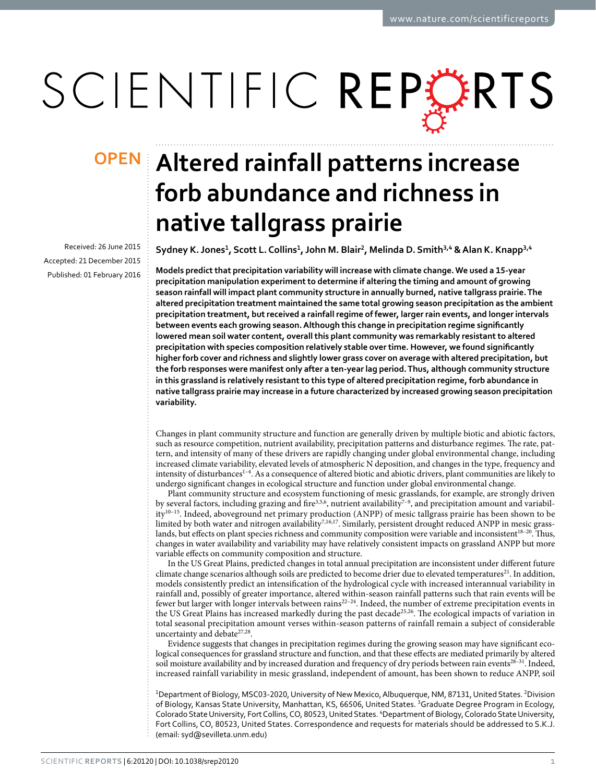# SCIENTIFIC REPERTS

Received: 26 June 2015 accepted: 21 December 2015 Published: 01 February 2016

# **Altered rainfall patterns increase OPENforb abundance and richness in native tallgrass prairie**

Sydney K. Jones<sup>1</sup>, Scott L. Collins<sup>1</sup>, John M. Blair<sup>2</sup>, Melinda D. Smith<sup>3,4</sup> & Alan K. Knapp<sup>3,4</sup>

**Models predict that precipitation variability will increase with climate change. We used a 15-year precipitation manipulation experiment to determine if altering the timing and amount of growing season rainfall will impact plant community structure in annually burned, native tallgrass prairie. The altered precipitation treatment maintained the same total growing season precipitation as the ambient precipitation treatment, but received a rainfall regime of fewer, larger rain events, and longer intervals between events each growing season. Although this change in precipitation regime significantly lowered mean soil water content, overall this plant community was remarkably resistant to altered precipitation with species composition relatively stable over time. However, we found significantly higher forb cover and richness and slightly lower grass cover on average with altered precipitation, but the forb responses were manifest only after a ten-year lag period. Thus, although community structure in this grassland is relatively resistant to this type of altered precipitation regime, forb abundance in native tallgrass prairie may increase in a future characterized by increased growing season precipitation variability.**

Changes in plant community structure and function are generally driven by multiple biotic and abiotic factors, such as resource competition, nutrient availability, precipitation patterns and disturbance regimes. The rate, pattern, and intensity of many of these drivers are rapidly changing under global environmental change, including increased climate variability, elevated levels of atmospheric N deposition, and changes in the type, frequency and intensity of disturbance[s1–4.](#page-7-0) As a consequence of altered biotic and abiotic drivers, plant communities are likely to undergo significant changes in ecological structure and function under global environmental change.

Plant community structure and ecosystem functioning of mesic grasslands, for example, are strongly driven by several factors, including grazing and fire<sup>3[,5](#page-7-2),[6](#page-7-3)</sup>, nutrient availability<sup>7-9</sup>, and precipitation amount and variabilit[y10–15.](#page-7-5) Indeed, aboveground net primary production (ANPP) of mesic tallgrass prairie has been shown to be limited by both water and nitrogen availability<sup>7,[16](#page-7-6)[,17](#page-7-7)</sup>. Similarly, persistent drought reduced ANPP in mesic grasslands, but effects on plant species richness and community composition were variable and inconsistent<sup>18-20</sup>. Thus, changes in water availability and variability may have relatively consistent impacts on grassland ANPP but more variable effects on community composition and structure.

In the US Great Plains, predicted changes in total annual precipitation are inconsistent under different future climate change scenarios although soils are predicted to become drier due to elevated temperatures<sup>[21](#page-7-9)</sup>. In addition, models consistently predict an intensification of the hydrological cycle with increased interannual variability in rainfall and, possibly of greater importance, altered within-season rainfall patterns such that rain events will be fewer but larger with longer intervals between rains<sup>22-24</sup>. Indeed, the number of extreme precipitation events in the US Great Plains has increased markedly during the past decade<sup>25[,26](#page-7-12)</sup>. The ecological impacts of variation in total seasonal precipitation amount verses within-season patterns of rainfall remain a subject of considerable uncertainty and debate<sup>[27](#page-7-13),[28](#page-8-0)</sup>.

Evidence suggests that changes in precipitation regimes during the growing season may have significant ecological consequences for grassland structure and function, and that these effects are mediated primarily by altered soil moisture availability and by increased duration and frequency of dry periods between rain events $^{28-31}$ . Indeed, increased rainfall variability in mesic grassland, independent of amount, has been shown to reduce ANPP, soil

<sup>1</sup>Department of Biology, MSC03-2020, University of New Mexico, Albuquerque, NM, 87131, United States. <sup>2</sup>Division of Biology, Kansas State University, Manhattan, KS, 66506, United States. <sup>3</sup>Graduate Degree Program in Ecology, Colorado State University, Fort Collins, CO, 80523, United States. "Department of Biology, Colorado State University, Fort Collins, CO, 80523, United States. Correspondence and requests for materials should be addressed to S.K.J. (email: [syd@sevilleta.unm.edu](mailto:syd@sevilleta.unm.edu))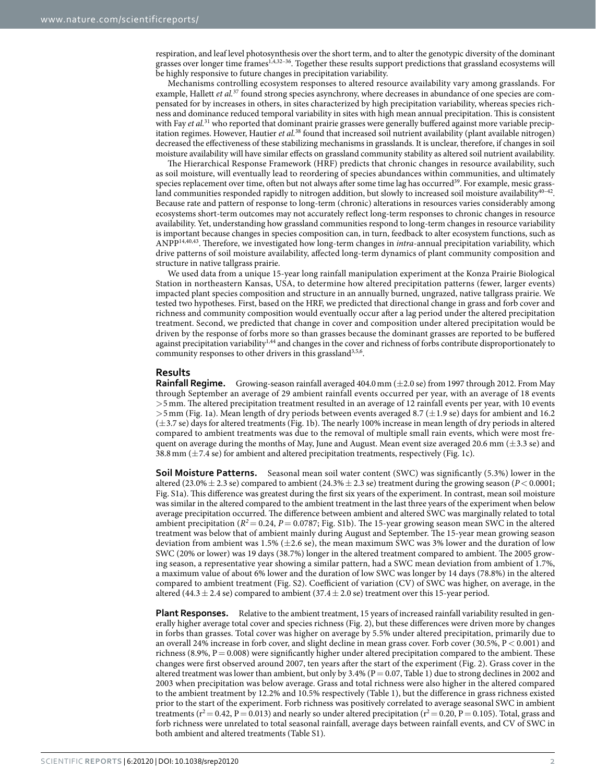respiration, and leaf level photosynthesis over the short term, and to alter the genotypic diversity of the dominant grasses over longer time frame[s1](#page-7-0)[,4](#page-7-14),[32–36.](#page-8-1) Together these results support predictions that grassland ecosystems will be highly responsive to future changes in precipitation variability.

Mechanisms controlling ecosystem responses to altered resource availability vary among grasslands. For example, Hallett *et al.*<sup>37</sup> found strong species asynchrony, where decreases in abundance of one species are compensated for by increases in others, in sites characterized by high precipitation variability, whereas species richness and dominance reduced temporal variability in sites with high mean annual precipitation. This is consistent with Fay *et al.*<sup>31</sup> who reported that dominant prairie grasses were generally buffered against more variable precipitation regimes. However, Hautier *et al.*[38](#page-8-4) found that increased soil nutrient availability (plant available nitrogen) decreased the effectiveness of these stabilizing mechanisms in grasslands. It is unclear, therefore, if changes in soil moisture availability will have similar effects on grassland community stability as altered soil nutrient availability.

The Hierarchical Response Framework (HRF) predicts that chronic changes in resource availability, such as soil moisture, will eventually lead to reordering of species abundances within communities, and ultimately species replacement over time, often but not always after some time lag has occurred<sup>[39](#page-8-5)</sup>. For example, mesic grassland communities responded rapidly to nitrogen addition, but slowly to increased soil moisture availability $40-42$ . Because rate and pattern of response to long-term (chronic) alterations in resources varies considerably among ecosystems short-term outcomes may not accurately reflect long-term responses to chronic changes in resource availability. Yet, understanding how grassland communities respond to long-term changes in resource variability is important because changes in species composition can, in turn, feedback to alter ecosystem functions, such as ANPP[14,](#page-7-15)[40,](#page-8-6)[43.](#page-8-7) Therefore, we investigated how long-term changes in *intra*-annual precipitation variability, which drive patterns of soil moisture availability, affected long-term dynamics of plant community composition and structure in native tallgrass prairie.

We used data from a unique 15-year long rainfall manipulation experiment at the Konza Prairie Biological Station in northeastern Kansas, USA, to determine how altered precipitation patterns (fewer, larger events) impacted plant species composition and structure in an annually burned, ungrazed, native tallgrass prairie. We tested two hypotheses. First, based on the HRF, we predicted that directional change in grass and forb cover and richness and community composition would eventually occur after a lag period under the altered precipitation treatment. Second, we predicted that change in cover and composition under altered precipitation would be driven by the response of forbs more so than grasses because the dominant grasses are reported to be buffered against precipitation variability<sup>[1,](#page-7-0)[44](#page-8-8)</sup> and changes in the cover and richness of forbs contribute disproportionately to community responses to other drivers in this grassland<sup>3[,5](#page-7-2)[,6](#page-7-3)</sup>.

# **Results**

**Rainfall Regime.** Growing-season rainfall averaged 404.0 mm ( $\pm$ 2.0 se) from 1997 through 2012. From May through September an average of 29 ambient rainfall events occurred per year, with an average of 18 events >5mm. The altered precipitation treatment resulted in an average of 12 rainfall events per year, with 10 events  $>$ 5 mm ([Fig. 1a\)](#page-2-0). Mean length of dry periods between events averaged 8.7 ( $\pm$ 1.9 se) days for ambient and 16.2  $(\pm 3.7 \text{ se})$  days for altered treatments [\(Fig. 1b](#page-2-0)). The nearly 100% increase in mean length of dry periods in altered compared to ambient treatments was due to the removal of multiple small rain events, which were most frequent on average during the months of May, June and August. Mean event size averaged 20.6 mm  $(\pm 3.3 \text{ se})$  and 38.8 mm  $(\pm 7.4 \text{ se})$  for ambient and altered precipitation treatments, respectively ([Fig. 1c](#page-2-0)).

**Soil Moisture Patterns.** Seasonal mean soil water content (SWC) was significantly (5.3%) lower in the altered (23.0% $\pm$  2.3 se) compared to ambient (24.3% $\pm$  2.3 se) treatment during the growing season (*P* < 0.0001; Fig. S1a). This difference was greatest during the first six years of the experiment. In contrast, mean soil moisture was similar in the altered compared to the ambient treatment in the last three years of the experiment when below average precipitation occurred. The difference between ambient and altered SWC was marginally related to total ambient precipitation ( $R^2$  = 0.24,  $P$  = 0.0787; Fig. S1b). The 15-year growing season mean SWC in the altered treatment was below that of ambient mainly during August and September. The 15-year mean growing season deviation from ambient was 1.5%  $(\pm 2.6 \text{ se})$ , the mean maximum SWC was 3% lower and the duration of low SWC (20% or lower) was 19 days (38.7%) longer in the altered treatment compared to ambient. The 2005 growing season, a representative year showing a similar pattern, had a SWC mean deviation from ambient of 1.7%, a maximum value of about 6% lower and the duration of low SWC was longer by 14 days (78.8%) in the altered compared to ambient treatment (Fig. S2). Coefficient of variation (CV) of SWC was higher, on average, in the altered (44.3  $\pm$  2.4 se) compared to ambient (37.4  $\pm$  2.0 se) treatment over this 15-year period.

**Plant Responses.** Relative to the ambient treatment, 15 years of increased rainfall variability resulted in generally higher average total cover and species richness ([Fig. 2](#page-2-1)), but these differences were driven more by changes in forbs than grasses. Total cover was higher on average by 5.5% under altered precipitation, primarily due to an overall 24% increase in forb cover, and slight decline in mean grass cover. Forb cover (30.5%, P< 0.001) and richness (8.9%,  $P = 0.008$ ) were significantly higher under altered precipitation compared to the ambient. These changes were first observed around 2007, ten years after the start of the experiment ([Fig. 2\)](#page-2-1). Grass cover in the altered treatment was lower than ambient, but only by 3.4% ( $P = 0.07$ , [Table 1\)](#page-3-0) due to strong declines in 2002 and 2003 when precipitation was below average. Grass and total richness were also higher in the altered compared to the ambient treatment by 12.2% and 10.5% respectively ([Table 1](#page-3-0)), but the difference in grass richness existed prior to the start of the experiment. Forb richness was positively correlated to average seasonal SWC in ambient treatments ( $r^2 = 0.42$ , P = 0.013) and nearly so under altered precipitation ( $r^2 = 0.20$ , P = 0.105). Total, grass and forb richness were unrelated to total seasonal rainfall, average days between rainfall events, and CV of SWC in both ambient and altered treatments (Table S1).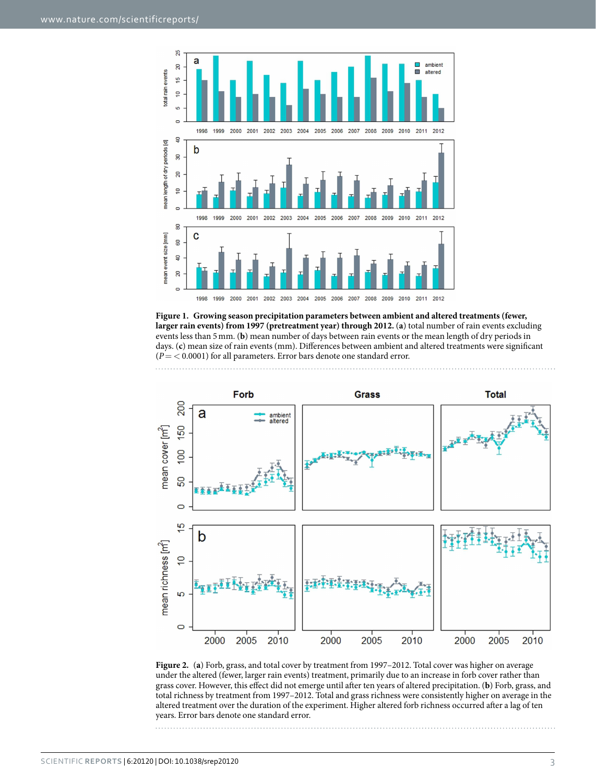

<span id="page-2-0"></span>**Figure 1. Growing season precipitation parameters between ambient and altered treatments (fewer, larger rain events) from 1997 (pretreatment year) through 2012.** (**a**) total number of rain events excluding events less than 5mm. (**b**) mean number of days between rain events or the mean length of dry periods in days. (**c**) mean size of rain events (mm). Differences between ambient and altered treatments were significant (*P*= < 0.0001) for all parameters. Error bars denote one standard error.



<span id="page-2-1"></span>**Figure 2.** (**a**) Forb, grass, and total cover by treatment from 1997–2012. Total cover was higher on average under the altered (fewer, larger rain events) treatment, primarily due to an increase in forb cover rather than grass cover. However, this effect did not emerge until after ten years of altered precipitation. (**b**) Forb, grass, and total richness by treatment from 1997–2012. Total and grass richness were consistently higher on average in the altered treatment over the duration of the experiment. Higher altered forb richness occurred after a lag of ten years. Error bars denote one standard error.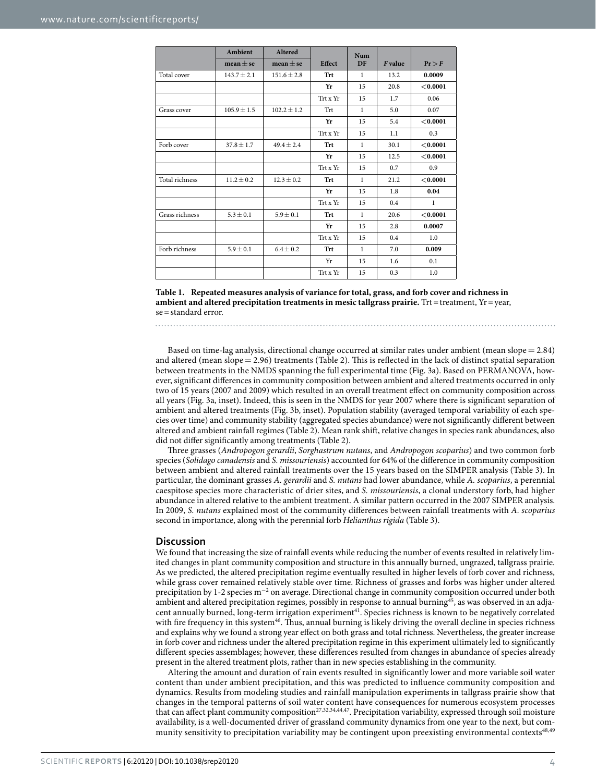<span id="page-3-0"></span>

|                | Ambient         | <b>Altered</b>  | <b>Effect</b> | <b>Num</b><br><b>DF</b> |         |          |
|----------------|-----------------|-----------------|---------------|-------------------------|---------|----------|
|                | mean $\pm$ se   | mean $\pm$ se   |               |                         | F value | Pr > F   |
| Total cover    | $143.7 \pm 2.1$ | $151.6 \pm 2.8$ | Trt           | $\mathbf{1}$            | 13.2    | 0.0009   |
|                |                 |                 | Yr            | 15                      | 20.8    | < 0.0001 |
|                |                 |                 | Trt x Yr      | 15                      | 1.7     | 0.06     |
| Grass cover    | $105.9 \pm 1.5$ | $102.2 \pm 1.2$ | Trt           | $\mathbf{1}$            | 5.0     | 0.07     |
|                |                 |                 | Yr            | 15                      | 5.4     | < 0.0001 |
|                |                 |                 | Trt x Yr      | 15                      | 1.1     | 0.3      |
| Forb cover     | $37.8 \pm 1.7$  | $49.4 \pm 2.4$  | Trt           | $\mathbf{1}$            | 30.1    | < 0.0001 |
|                |                 |                 | Yr            | 15                      | 12.5    | < 0.0001 |
|                |                 |                 | Trt x Yr      | 15                      | 0.7     | 0.9      |
| Total richness | $11.2 \pm 0.2$  | $12.3 \pm 0.2$  | <b>Trt</b>    | $\mathbf{1}$            | 21.2    | < 0.0001 |
|                |                 |                 | Yr            | 15                      | 1.8     | 0.04     |
|                |                 |                 | Trt x Yr      | 15                      | 0.4     | 1        |
| Grass richness | $5.3 \pm 0.1$   | $5.9 \pm 0.1$   | Trt           | $\mathbf{1}$            | 20.6    | < 0.0001 |
|                |                 |                 | Yr            | 15                      | 2.8     | 0.0007   |
|                |                 |                 | Trt x Yr      | 15                      | 0.4     | 1.0      |
| Forb richness  | $5.9 \pm 0.1$   | $6.4 \pm 0.2$   | Trt           | $\mathbf{1}$            | 7.0     | 0.009    |
|                |                 |                 | Yr            | 15                      | 1.6     | 0.1      |
|                |                 |                 | Trt x Yr      | 15                      | 0.3     | 1.0      |



Based on time-lag analysis, directional change occurred at similar rates under ambient (mean slope= 2.84) and altered (mean slope= 2.96) treatments [\(Table 2](#page-4-0)). This is reflected in the lack of distinct spatial separation between treatments in the NMDS spanning the full experimental time ([Fig. 3a\)](#page-4-1). Based on PERMANOVA, however, significant differences in community composition between ambient and altered treatments occurred in only two of 15 years (2007 and 2009) which resulted in an overall treatment effect on community composition across all years [\(Fig. 3a](#page-4-1), inset). Indeed, this is seen in the NMDS for year 2007 where there is significant separation of ambient and altered treatments [\(Fig. 3b,](#page-4-1) inset). Population stability (averaged temporal variability of each species over time) and community stability (aggregated species abundance) were not significantly different between altered and ambient rainfall regimes ([Table 2](#page-4-0)). Mean rank shift, relative changes in species rank abundances, also did not differ significantly among treatments ([Table 2](#page-4-0)).

Three grasses (*Andropogon gerardii*, *Sorghastrum nutans*, and *Andropogon scoparius*) and two common forb species (*Solidago canadensis* and *S. missouriensis*) accounted for 64% of the difference in community composition between ambient and altered rainfall treatments over the 15 years based on the SIMPER analysis [\(Table 3](#page-5-0)). In particular, the dominant grasses *A. gerardii* and *S. nutans* had lower abundance, while *A. scoparius*, a perennial caespitose species more characteristic of drier sites, and *S. missouriensis*, a clonal understory forb, had higher abundance in altered relative to the ambient treatment. A similar pattern occurred in the 2007 SIMPER analysis. In 2009, *S. nutans* explained most of the community differences between rainfall treatments with *A. scoparius* second in importance, along with the perennial forb *Helianthus rigida* ([Table 3](#page-5-0)).

## **Discussion**

We found that increasing the size of rainfall events while reducing the number of events resulted in relatively limited changes in plant community composition and structure in this annually burned, ungrazed, tallgrass prairie. As we predicted, the altered precipitation regime eventually resulted in higher levels of forb cover and richness, while grass cover remained relatively stable over time. Richness of grasses and forbs was higher under altered precipitation by 1-2 species m<sup>-2</sup> on average. Directional change in community composition occurred under both ambient and altered precipitation regimes, possibly in response to annual burning<sup>[45](#page-8-9)</sup>, as was observed in an adjacent annually burned, long-term irrigation experiment<sup>41</sup>. Species richness is known to be negatively correlated with fire frequency in this system<sup>[46](#page-8-11)</sup>. Thus, annual burning is likely driving the overall decline in species richness and explains why we found a strong year effect on both grass and total richness. Nevertheless, the greater increase in forb cover and richness under the altered precipitation regime in this experiment ultimately led to significantly different species assemblages; however, these differences resulted from changes in abundance of species already present in the altered treatment plots, rather than in new species establishing in the community.

Altering the amount and duration of rain events resulted in significantly lower and more variable soil water content than under ambient precipitation, and this was predicted to influence community composition and dynamics. Results from modeling studies and rainfall manipulation experiments in tallgrass prairie show that changes in the temporal patterns of soil water content have consequences for numerous ecosystem processes that can affect plant community composition<sup>[27](#page-7-13),[32](#page-8-1),[34](#page-8-12),[44](#page-8-8),[47](#page-8-13)</sup>. Precipitation variability, expressed through soil moisture availability, is a well-documented driver of grassland community dynamics from one year to the next, but com-munity sensitivity to precipitation variability may be contingent upon preexisting environmental contexts<sup>[48,](#page-8-14)[49](#page-8-15)</sup>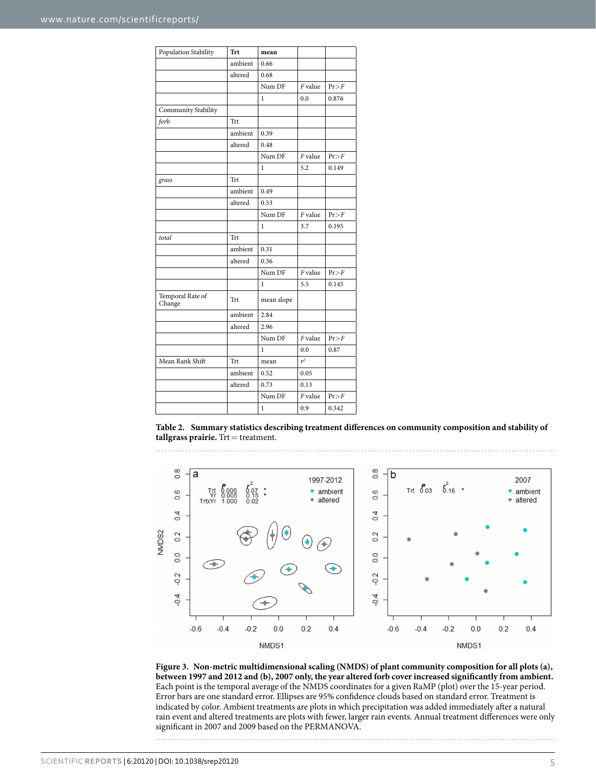<span id="page-4-0"></span>

| Population Stability       | <b>Trt</b> | mean         |           |       |
|----------------------------|------------|--------------|-----------|-------|
|                            | ambient    | 0.66         |           |       |
|                            | altered    | 0.68         |           |       |
|                            |            | Num DF       | F value   | Pr>F  |
|                            |            | 1            | 0.0       | 0.876 |
| Community Stability        |            |              |           |       |
| forb                       | Trt        |              |           |       |
|                            | ambient    | 0.39         |           |       |
|                            | altered    | 0.48         |           |       |
|                            |            | Num DF       | F value   | Pr>F  |
|                            |            | $\mathbf{1}$ | 5.2       | 0.149 |
| grass                      | Trt        |              |           |       |
|                            | ambient    | 0.49         |           |       |
|                            | altered    | 0.53         |           |       |
|                            |            | Num DF       | $F$ value | Pr>F  |
|                            |            | 1            | 3.7       | 0.195 |
| total                      | Trt        |              |           |       |
|                            | ambient    | 0.31         |           |       |
|                            | altered    | 0.36         |           |       |
|                            |            | Num DF       | $F$ value | Pr>F  |
|                            |            | 1            | 5.5       | 0.145 |
| Temporal Rate of<br>Change | Trt        | mean slope   |           |       |
|                            | ambient    | 2.84         |           |       |
|                            | altered    | 2.96         |           |       |
|                            |            | Num DF       | $F$ value | Pr>F  |
|                            |            | 1            | 0.0       | 0.87  |
| Mean Rank Shift            | Trt        | mean         | $r^2$     |       |
|                            | ambient    | 0.52         | 0.05      |       |
|                            | altered    | 0.73         | 0.13      |       |
|                            |            | Num DF       | $F$ value | Pr>F  |
|                            |            | $\mathbf{1}$ | 0.9       | 0.342 |

**Table 2. Summary statistics describing treatment differences on community composition and stability of tallgrass prairie.** Trt = treatment.



<span id="page-4-1"></span>**Figure 3. Non-metric multidimensional scaling (NMDS) of plant community composition for all plots (a), between 1997 and 2012 and (b), 2007 only, the year altered forb cover increased significantly from ambient.**  Each point is the temporal average of the NMDS coordinates for a given RaMP (plot) over the 15-year period. Error bars are one standard error. Ellipses are 95% confidence clouds based on standard error. Treatment is indicated by color. Ambient treatments are plots in which precipitation was added immediately after a natural rain event and altered treatments are plots with fewer, larger rain events. Annual treatment differences were only significant in 2007 and 2009 based on the PERMANOVA.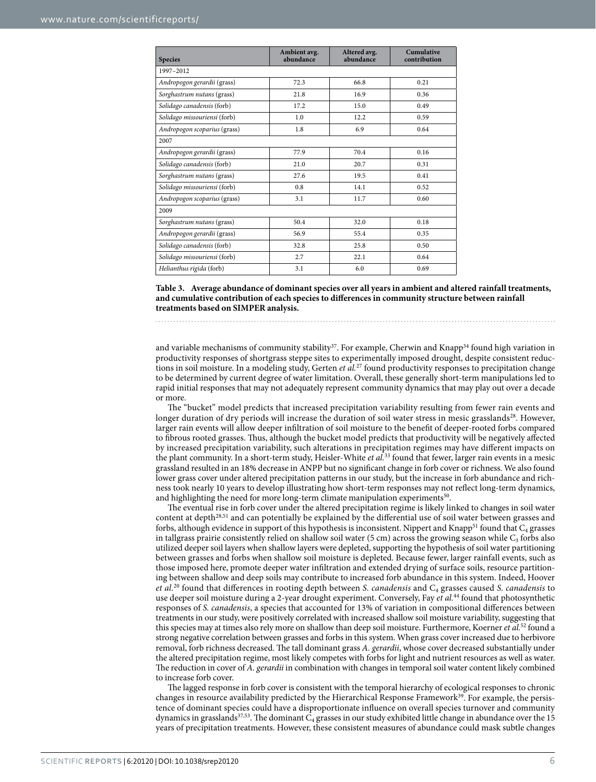<span id="page-5-0"></span>

| <b>Species</b>               | Ambient avg.<br>abundance | Altered avg.<br>abundance | Cumulative<br>contribution |  |  |  |  |  |
|------------------------------|---------------------------|---------------------------|----------------------------|--|--|--|--|--|
| 1997-2012                    |                           |                           |                            |  |  |  |  |  |
| Andropogon gerardii (grass)  | 72.3                      | 66.8                      | 0.21                       |  |  |  |  |  |
| Sorghastrum nutans (grass)   | 21.8                      | 16.9                      | 0.36                       |  |  |  |  |  |
| Solidago canadensis (forb)   | 17.2                      | 15.0                      | 0.49                       |  |  |  |  |  |
| Solidago missouriensi (forb) | 1.0                       | 12.2                      | 0.59                       |  |  |  |  |  |
| Andropogon scoparius (grass) | 1.8                       | 6.9                       | 0.64                       |  |  |  |  |  |
| 2007                         |                           |                           |                            |  |  |  |  |  |
| Andropogon gerardii (grass)  | 77.9                      | 70.4                      | 0.16                       |  |  |  |  |  |
| Solidago canadensis (forb)   | 21.0                      | 20.7                      | 0.31                       |  |  |  |  |  |
| Sorghastrum nutans (grass)   | 27.6                      | 19.5                      | 0.41                       |  |  |  |  |  |
| Solidago missouriensi (forb) | 0.8                       | 14.1                      | 0.52                       |  |  |  |  |  |
| Andropogon scoparius (grass) | 3.1                       | 11.7                      | 0.60                       |  |  |  |  |  |
| 2009                         |                           |                           |                            |  |  |  |  |  |
| Sorghastrum nutans (grass)   | 50.4                      | 32.0                      | 0.18                       |  |  |  |  |  |
| Andropogon gerardii (grass)  | 56.9                      | 55.4                      | 0.35                       |  |  |  |  |  |
| Solidago canadensis (forb)   | 32.8                      | 25.8                      | 0.50                       |  |  |  |  |  |
| Solidago missouriensi (forb) | 2.7                       | 22.1                      | 0.64                       |  |  |  |  |  |
| Helianthus rigida (forb)     | 3.1                       | 6.0                       | 0.69                       |  |  |  |  |  |

**Table 3. Average abundance of dominant species over all years in ambient and altered rainfall treatments, and cumulative contribution of each species to differences in community structure between rainfall treatments based on SIMPER analysis.**

and variable mechanisms of community stability<sup>37</sup>. For example, Cherwin and Knapp<sup>34</sup> found high variation in productivity responses of shortgrass steppe sites to experimentally imposed drought, despite consistent reductions in soil moisture. In a modeling study, Gerten *et al.*[27](#page-7-13) found productivity responses to precipitation change to be determined by current degree of water limitation. Overall, these generally short-term manipulations led to rapid initial responses that may not adequately represent community dynamics that may play out over a decade or more.

The "bucket" model predicts that increased precipitation variability resulting from fewer rain events and longer duration of dry periods will increase the duration of soil water stress in mesic grasslands<sup>28</sup>. However, larger rain events will allow deeper infiltration of soil moisture to the benefit of deeper-rooted forbs compared to fibrous rooted grasses. Thus, although the bucket model predicts that productivity will be negatively affected by increased precipitation variability, such alterations in precipitation regimes may have different impacts on the plant community. In a short-term study, Heisler-White *et al.*[33](#page-8-16) found that fewer, larger rain events in a mesic grassland resulted in an 18% decrease in ANPP but no significant change in forb cover or richness. We also found lower grass cover under altered precipitation patterns in our study, but the increase in forb abundance and richness took nearly 10 years to develop illustrating how short-term responses may not reflect long-term dynamics, and highlighting the need for more long-term climate manipulation experiments<sup>50</sup>

The eventual rise in forb cover under the altered precipitation regime is likely linked to changes in soil water content at depth[28](#page-8-0),[51](#page-8-18) and can potentially be explained by the differential use of soil water between grasses and forbs, although evidence in support of this hypothesis is inconsistent. Nippert and Knapp<sup>51</sup> found that  $C_4$  grasses in tallgrass prairie consistently relied on shallow soil water (5 cm) across the growing season while  $C_3$  forbs also utilized deeper soil layers when shallow layers were depleted, supporting the hypothesis of soil water partitioning between grasses and forbs when shallow soil moisture is depleted. Because fewer, larger rainfall events, such as those imposed here, promote deeper water infiltration and extended drying of surface soils, resource partitioning between shallow and deep soils may contribute to increased forb abundance in this system. Indeed, Hoover *et al.*[20](#page-7-16) found that differences in rooting depth between *S. canadensis* and C4 grasses caused *S. canadensis* to use deeper soil moisture during a 2-year drought experiment. Conversely, Fay *et al.*<sup>44</sup> found that photosynthetic responses of *S. canadensis*, a species that accounted for 13% of variation in compositional differences between treatments in our study, were positively correlated with increased shallow soil moisture variability, suggesting that this species may at times also rely more on shallow than deep soil moisture. Furthermore, Koerner *et al.*[52](#page-8-19) found a strong negative correlation between grasses and forbs in this system. When grass cover increased due to herbivore removal, forb richness decreased. The tall dominant grass *A. gerardii*, whose cover decreased substantially under the altered precipitation regime, most likely competes with forbs for light and nutrient resources as well as water. The reduction in cover of *A. gerardii* in combination with changes in temporal soil water content likely combined to increase forb cover.

The lagged response in forb cover is consistent with the temporal hierarchy of ecological responses to chronic changes in resource availability predicted by the Hierarchical Response Framework<sup>[39](#page-8-5)</sup>. For example, the persistence of dominant species could have a disproportionate influence on overall species turnover and community dynamics in grasslands<sup>37,53</sup>. The dominant  $C_4$  grasses in our study exhibited little change in abundance over the 15 years of precipitation treatments. However, these consistent measures of abundance could mask subtle changes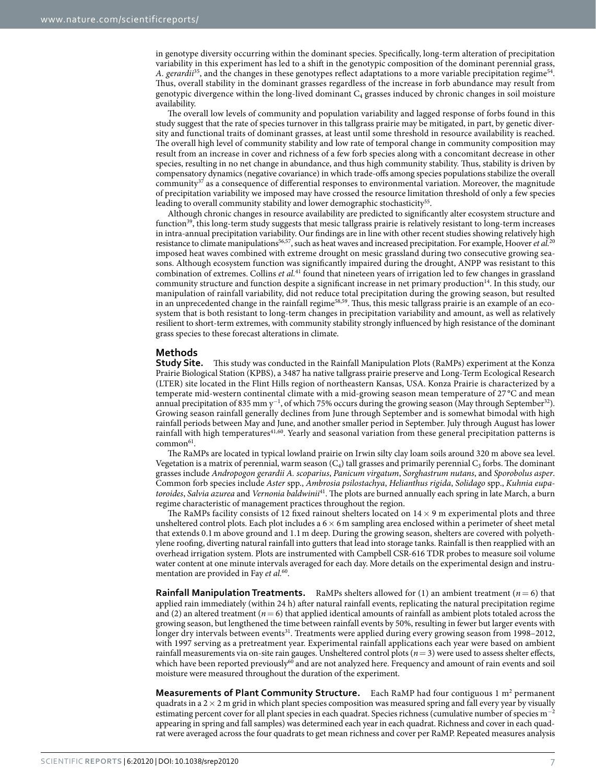in genotype diversity occurring within the dominant species. Specifically, long-term alteration of precipitation variability in this experiment has led to a shift in the genotypic composition of the dominant perennial grass, *A. gerardii*[35,](#page-8-21) and the changes in these genotypes reflect adaptations to a more variable precipitation regime[54.](#page-8-22) Thus, overall stability in the dominant grasses regardless of the increase in forb abundance may result from genotypic divergence within the long-lived dominant  $C_4$  grasses induced by chronic changes in soil moisture availability.

The overall low levels of community and population variability and lagged response of forbs found in this study suggest that the rate of species turnover in this tallgrass prairie may be mitigated, in part, by genetic diversity and functional traits of dominant grasses, at least until some threshold in resource availability is reached. The overall high level of community stability and low rate of temporal change in community composition may result from an increase in cover and richness of a few forb species along with a concomitant decrease in other species, resulting in no net change in abundance, and thus high community stability. Thus, stability is driven by compensatory dynamics (negative covariance) in which trade-offs among species populations stabilize the overall community<sup>37</sup> as a consequence of differential responses to environmental variation. Moreover, the magnitude of precipitation variability we imposed may have crossed the resource limitation threshold of only a few species leading to overall community stability and lower demographic stochasticity<sup>55</sup>.

Although chronic changes in resource availability are predicted to significantly alter ecosystem structure and function<sup>[39](#page-8-5)</sup>, this long-term study suggests that mesic tallgrass prairie is relatively resistant to long-term increases in intra-annual precipitation variability. Our findings are in line with other recent studies showing relatively high resistance to climate manipulation[s56](#page-8-24)[,57,](#page-8-25) such as heat waves and increased precipitation. For example, Hoover *et al.*[20](#page-7-16) imposed heat waves combined with extreme drought on mesic grassland during two consecutive growing seasons. Although ecosystem function was significantly impaired during the drought, ANPP was resistant to this combination of extremes. Collins *et al.*[41](#page-8-10) found that nineteen years of irrigation led to few changes in grassland community structure and function despite a significant increase in net primary production<sup>[14](#page-7-15)</sup>. In this study, our manipulation of rainfall variability, did not reduce total precipitation during the growing season, but resulted in an unprecedented change in the rainfall regime<sup>[58](#page-8-26),[59](#page-8-27)</sup>. Thus, this mesic tallgrass prairie is an example of an ecosystem that is both resistant to long-term changes in precipitation variability and amount, as well as relatively resilient to short-term extremes, with community stability strongly influenced by high resistance of the dominant grass species to these forecast alterations in climate.

# **Methods**

**Study Site.** This study was conducted in the Rainfall Manipulation Plots (RaMPs) experiment at the Konza Prairie Biological Station (KPBS), a 3487 ha native tallgrass prairie preserve and Long-Term Ecological Research (LTER) site located in the Flint Hills region of northeastern Kansas, USA. Konza Prairie is characterized by a temperate mid-western continental climate with a mid-growing season mean temperature of 27 °C and mean annual precipitation of 835 mm y<sup>-1</sup>, of which 75% occurs during the growing season (May through September<sup>[32](#page-8-1)</sup>). Growing season rainfall generally declines from June through September and is somewhat bimodal with high rainfall periods between May and June, and another smaller period in September. July through August has lower rainfall with high temperatures<sup>41[,60](#page-8-28)</sup>. Yearly and seasonal variation from these general precipitation patterns is  $common<sup>61</sup>$ .

The RaMPs are located in typical lowland prairie on Irwin silty clay loam soils around 320 m above sea level. Vegetation is a matrix of perennial, warm season  $(C_4)$  tall grasses and primarily perennial  $C_3$  forbs. The dominant grasses include *Andropogon gerardii A. scoparius*, *Panicum virgatum*, *Sorghastrum nutans*, and *Sporobolus asper*. Common forb species include *Aster* spp., *Ambrosia psilostachya*, *Helianthus rigida*, *Solidago* spp., *Kuhnia eupatoroides*, *Salvia azurea* and *Vernonia baldwinii*[41](#page-8-10). The plots are burned annually each spring in late March, a burn regime characteristic of management practices throughout the region.

The RaMPs facility consists of 12 fixed rainout shelters located on  $14 \times 9$  m experimental plots and three unsheltered control plots. Each plot includes a  $6 \times 6$  m sampling area enclosed within a perimeter of sheet metal that extends 0.1m above ground and 1.1m deep. During the growing season, shelters are covered with polyethylene roofing, diverting natural rainfall into gutters that lead into storage tanks. Rainfall is then reapplied with an overhead irrigation system. Plots are instrumented with Campbell CSR-616 TDR probes to measure soil volume water content at one minute intervals averaged for each day. More details on the experimental design and instrumentation are provided in Fay *et al.*[60](#page-8-28).

**Rainfall Manipulation Treatments.** RaMPs shelters allowed for (1) an ambient treatment (*n*= 6) that applied rain immediately (within 24 h) after natural rainfall events, replicating the natural precipitation regime and (2) an altered treatment ( $n=6$ ) that applied identical amounts of rainfall as ambient plots totaled across the growing season, but lengthened the time between rainfall events by 50%, resulting in fewer but larger events with longer dry intervals between events<sup>[31](#page-8-3)</sup>. Treatments were applied during every growing season from 1998-2012, with 1997 serving as a pretreatment year. Experimental rainfall applications each year were based on ambient rainfall measurements via on-site rain gauges. Unsheltered control plots (*n*= 3) were used to assess shelter effects, which have been reported previously<sup>[60](#page-8-28)</sup> and are not analyzed here. Frequency and amount of rain events and soil moisture were measured throughout the duration of the experiment.

**Measurements of Plant Community Structure.** Each RaMP had four contiguous 1 m<sup>2</sup> permanent quadrats in a  $2 \times 2$  m grid in which plant species composition was measured spring and fall every year by visually estimating percent cover for all plant species in each quadrat. Species richness (cumulative number of species m<sup>−</sup><sup>2</sup> appearing in spring and fall samples) was determined each year in each quadrat. Richness and cover in each quadrat were averaged across the four quadrats to get mean richness and cover per RaMP. Repeated measures analysis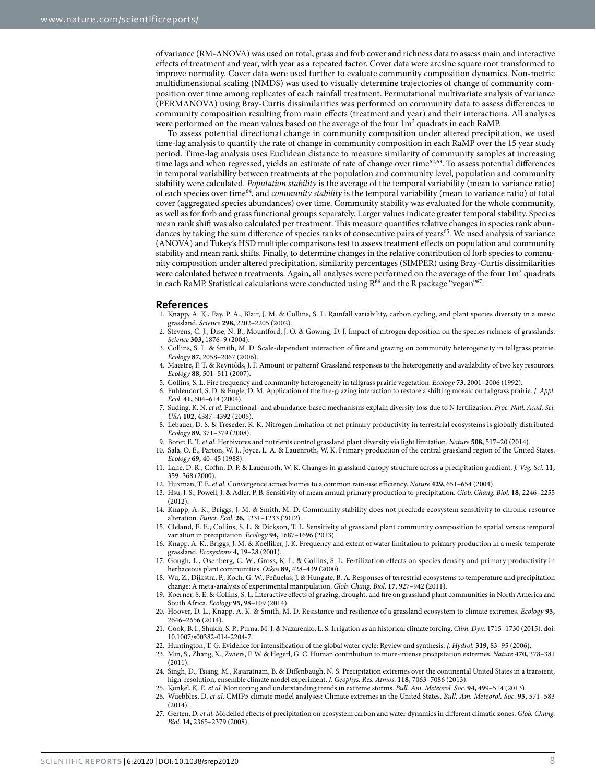of variance (RM-ANOVA) was used on total, grass and forb cover and richness data to assess main and interactive effects of treatment and year, with year as a repeated factor. Cover data were arcsine square root transformed to improve normality. Cover data were used further to evaluate community composition dynamics. Non-metric multidimensional scaling (NMDS) was used to visually determine trajectories of change of community composition over time among replicates of each rainfall treatment. Permutational multivariate analysis of variance (PERMANOVA) using Bray-Curtis dissimilarities was performed on community data to assess differences in community composition resulting from main effects (treatment and year) and their interactions. All analyses were performed on the mean values based on the average of the four  $1\mathrm{m}^2$  quadrats in each RaMP.

To assess potential directional change in community composition under altered precipitation, we used time-lag analysis to quantify the rate of change in community composition in each RaMP over the 15 year study period. Time-lag analysis uses Euclidean distance to measure similarity of community samples at increasing time lags and when regressed, yields an estimate of rate of change over time<sup>62,63</sup>. To assess potential differences in temporal variability between treatments at the population and community level, population and community stability were calculated. *Population stability* is the average of the temporal variability (mean to variance ratio) of each species over time[64](#page-8-32), and *community stability* is the temporal variability (mean to variance ratio) of total cover (aggregated species abundances) over time. Community stability was evaluated for the whole community, as well as for forb and grass functional groups separately. Larger values indicate greater temporal stability. Species mean rank shift was also calculated per treatment. This measure quantifies relative changes in species rank abundances by taking the sum difference of species ranks of consecutive pairs of years<sup>65</sup>. We used analysis of variance (ANOVA) and Tukey's HSD multiple comparisons test to assess treatment effects on population and community stability and mean rank shifts. Finally, to determine changes in the relative contribution of forb species to community composition under altered precipitation, similarity percentages (SIMPER) using Bray-Curtis dissimilarities were calculated between treatments. Again, all analyses were performed on the average of the four  $1m^2$  quadrats in each RaMP. Statistical calculations were conducted using  $R^{66}$  $R^{66}$  $R^{66}$  and the R package "vegan"<sup>67</sup>.

## **References**

- <span id="page-7-0"></span>1. Knapp, A. K., Fay, P. A., Blair, J. M. & Collins, S. L. Rainfall variability, carbon cycling, and plant species diversity in a mesic grassland. *Science* **298,** 2202–2205 (2002).
- 2. Stevens, C. J., Dise, N. B., Mountford, J. O. & Gowing, D. J. Impact of nitrogen deposition on the species richness of grasslands. *Science* **303,** 1876–9 (2004).
- <span id="page-7-1"></span>3. Collins, S. L. & Smith, M. D. Scale-dependent interaction of fire and grazing on community heterogeneity in tallgrass prairie. *Ecology* **87,** 2058–2067 (2006).
- <span id="page-7-14"></span>4. Maestre, F. T. & Reynolds, J. F. Amount or pattern? Grassland responses to the heterogeneity and availability of two key resources. *Ecology* **88,** 501–511 (2007).
- <span id="page-7-2"></span>5. Collins, S. L. Fire frequency and community heterogeneity in tallgrass prairie vegetation. *Ecology* **73,** 2001–2006 (1992).
- <span id="page-7-3"></span>6. Fuhlendorf, S. D. & Engle, D. M. Application of the fire-grazing interaction to restore a shifting mosaic on tallgrass prairie. *J. Appl. Ecol.* **41,** 604–614 (2004).
- <span id="page-7-4"></span>7. Suding, K. N. *et al.* Functional- and abundance-based mechanisms explain diversity loss due to N fertilization. *Proc. Natl. Acad. Sci. USA* **102,** 4387–4392 (2005).
- 8. Lebauer, D. S. & Treseder, K. K. Nitrogen limitation of net primary productivity in terrestrial ecosystems is globally distributed. *Ecology* **89,** 371–379 (2008).
- 9. Borer, E. T. *et al.* Herbivores and nutrients control grassland plant diversity via light limitation. *Nature* **508,** 517–20 (2014).
- <span id="page-7-5"></span>10. Sala, O. E., Parton, W. J., Joyce, L. A. & Lauenroth, W. K. Primary production of the central grassland region of the United States. *Ecology* **69,** 40–45 (1988).
- 11. Lane, D. R., Coffin, D. P. & Lauenroth, W. K. Changes in grassland canopy structure across a precipitation gradient. *J. Veg. Sci.* **11,** 359–368 (2000).
- 12. Huxman, T. E. *et al.* Convergence across biomes to a common rain-use efficiency. *Nature* **429,** 651–654 (2004).
- 13. Hsu, J. S., Powell, J. & Adler, P. B. Sensitivity of mean annual primary production to precipitation. *Glob. Chang. Biol*. **18,** 2246–2255 (2012).
- <span id="page-7-15"></span>14. Knapp, A. K., Briggs, J. M. & Smith, M. D. Community stability does not preclude ecosystem sensitivity to chronic resource alteration. *Funct. Ecol.* **26,** 1231–1233 (2012).
- 15. Cleland, E. E., Collins, S. L. & Dickson, T. L. Sensitivity of grassland plant community composition to spatial versus temporal variation in precipitation. *Ecology* **94,** 1687–1696 (2013).
- <span id="page-7-6"></span>16. Knapp, A. K., Briggs, J. M. & Koelliker, J. K. Frequency and extent of water limitation to primary production in a mesic temperate grassland. *Ecosystems* **4,** 19–28 (2001).
- <span id="page-7-7"></span>17. Gough, L., Osenberg, C. W., Gross, K. L. & Collins, S. L. Fertilization effects on species density and primary productivity in herbaceous plant communities. *Oikos* **89,** 428–439 (2000).
- <span id="page-7-8"></span>18. Wu, Z., Dijkstra, P., Koch, G. W., Peñuelas, J. & Hungate, B. A. Responses of terrestrial ecosystems to temperature and precipitation change: A meta-analysis of experimental manipulation. *Glob. Chang. Biol*. **17,** 927–942 (2011).
- 19. Koerner, S. E. & Collins, S. L. Interactive effects of grazing, drought, and fire on grassland plant communities in North America and South Africa. *Ecology* **95,** 98–109 (2014).
- <span id="page-7-16"></span>20. Hoover, D. L., Knapp, A. K. & Smith, M. D. Resistance and resilience of a grassland ecosystem to climate extremes. *Ecology* **95,** 2646–2656 (2014).
- <span id="page-7-9"></span>21. Cook, B. I., Shukla, S. P., Puma, M. J. & Nazarenko, L. S. Irrigation as an historical climate forcing. *Clim. Dyn*. 1715–1730 (2015). doi: 10.1007/s00382-014-2204-7.
- 22. Huntington, T. G. Evidence for intensification of the global water cycle: Review and synthesis. *J. Hydrol.* **319,** 83–95 (2006).
- <span id="page-7-10"></span>23. Min, S., Zhang, X., Zwiers, F. W. & Hegerl, G. C. Human contribution to more-intense precipitation extremes. *Nature* **470,** 378–381 (2011).
- 24. Singh, D., Tsiang, M., Rajaratnam, B. & Diffenbaugh, N. S. Precipitation extremes over the continental United States in a transient, high-resolution, ensemble climate model experiment. *J. Geophys. Res. Atmos*. **118,** 7063–7086 (2013).
- <span id="page-7-11"></span>25. Kunkel, K. E. *et al.* Monitoring and understanding trends in extreme storms. *Bull. Am. Meteorol. Soc*. **94,** 499–514 (2013).
- <span id="page-7-12"></span>26. Wuebbles, D. *et al.* CMIP5 climate model analyses: Climate extremes in the United States. *Bull. Am. Meteorol. Soc*. **95,** 571–583  $(2014)$
- <span id="page-7-13"></span>27. Gerten, D. *et al.* Modelled effects of precipitation on ecosystem carbon and water dynamics in different climatic zones. *Glob. Chang. Biol*. **14,** 2365–2379 (2008).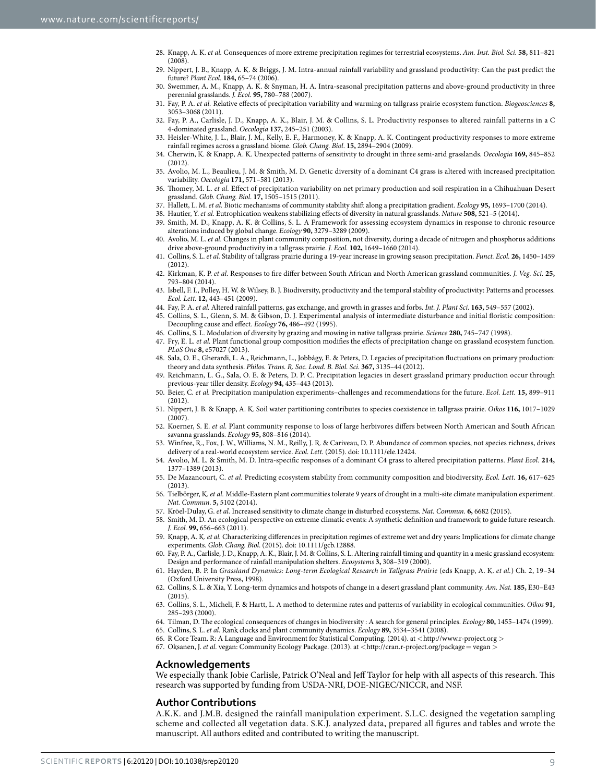- <span id="page-8-0"></span>28. Knapp, A. K. *et al.* Consequences of more extreme precipitation regimes for terrestrial ecosystems. *Am. Inst. Biol. Sci*. **58,** 811–821 (2008).
- 29. Nippert, J. B., Knapp, A. K. & Briggs, J. M. Intra-annual rainfall variability and grassland productivity: Can the past predict the future? *Plant Ecol.* **184,** 65–74 (2006).
- 30. Swemmer, A. M., Knapp, A. K. & Snyman, H. A. Intra-seasonal precipitation patterns and above-ground productivity in three perennial grasslands. *J. Ecol.* **95,** 780–788 (2007).
- <span id="page-8-3"></span>31. Fay, P. A. *et al.* Relative effects of precipitation variability and warming on tallgrass prairie ecosystem function. *Biogeosciences* **8,** 3053–3068 (2011).
- <span id="page-8-1"></span>32. Fay, P. A., Carlisle, J. D., Knapp, A. K., Blair, J. M. & Collins, S. L. Productivity responses to altered rainfall patterns in a C 4-dominated grassland. *Oecologia* **137,** 245–251 (2003).
- <span id="page-8-16"></span>33. Heisler-White, J. L., Blair, J. M., Kelly, E. F., Harmoney, K. & Knapp, A. K. Contingent productivity responses to more extreme rainfall regimes across a grassland biome. *Glob. Chang. Biol*. **15,** 2894–2904 (2009).
- <span id="page-8-12"></span>34. Cherwin, K. & Knapp, A. K. Unexpected patterns of sensitivity to drought in three semi-arid grasslands. *Oecologia* **169,** 845–852 (2012).
- <span id="page-8-21"></span>35. Avolio, M. L., Beaulieu, J. M. & Smith, M. D. Genetic diversity of a dominant C4 grass is altered with increased precipitation variability. *Oecologia* **171,** 571–581 (2013).
- 36. Thomey, M. L. *et al.* Effect of precipitation variability on net primary production and soil respiration in a Chihuahuan Desert grassland. *Glob. Chang. Biol*. **17,** 1505–1515 (2011).
- 37. Hallett, L. M. *et al.* Biotic mechanisms of community stability shift along a precipitation gradient. *Ecology* **95,** 1693–1700 (2014).
- <span id="page-8-5"></span><span id="page-8-4"></span><span id="page-8-2"></span>38. Hautier, Y. *et al.* Eutrophication weakens stabilizing effects of diversity in natural grasslands. *Nature* **508,** 521–5 (2014).
- 39. Smith, M. D., Knapp, A. K. & Collins, S. L. A Framework for assessing ecosystem dynamics in response to chronic resource alterations induced by global change. *Ecology* **90,** 3279–3289 (2009).
- <span id="page-8-6"></span>40. Avolio, M. L. *et al.* Changes in plant community composition, not diversity, during a decade of nitrogen and phosphorus additions drive above-ground productivity in a tallgrass prairie. *J. Ecol.* **102,** 1649–1660 (2014).
- <span id="page-8-10"></span>41. Collins, S. L. *et al.* Stability of tallgrass prairie during a 19-year increase in growing season precipitation. *Funct. Ecol.* **26,** 1450–1459 (2012).
- 42. Kirkman, K. P. *et al.* Responses to fire differ between South African and North American grassland communities. *J. Veg. Sci.* **25,** 793–804 (2014).
- <span id="page-8-7"></span>43. Isbell, F. I., Polley, H. W. & Wilsey, B. J. Biodiversity, productivity and the temporal stability of productivity: Patterns and processes. *Ecol. Lett.* **12,** 443–451 (2009).
- <span id="page-8-8"></span>44. Fay, P. A. *et al.* Altered rainfall patterns, gas exchange, and growth in grasses and forbs. *Int. J. Plant Sci.* **163,** 549–557 (2002).
- <span id="page-8-9"></span>45. Collins, S. L., Glenn, S. M. & Gibson, D. J. Experimental analysis of intermediate disturbance and initial floristic composition: Decoupling cause and effect. *Ecology* **76,** 486–492 (1995).
- <span id="page-8-11"></span>46. Collins, S. L. Modulation of diversity by grazing and mowing in native tallgrass prairie. *Science* **280,** 745–747 (1998).
- <span id="page-8-13"></span>47. Fry, E. L. *et al.* Plant functional group composition modifies the effects of precipitation change on grassland ecosystem function. *PLoS One* **8,** e57027 (2013).
- <span id="page-8-14"></span>48. Sala, O. E., Gherardi, L. A., Reichmann, L., Jobbágy, E. & Peters, D. Legacies of precipitation fluctuations on primary production: theory and data synthesis. *Philos. Trans. R. Soc. Lond. B. Biol. Sci*. **367,** 3135–44 (2012).
- <span id="page-8-15"></span>49. Reichmann, L. G., Sala, O. E. & Peters, D. P. C. Precipitation legacies in desert grassland primary production occur through previous-year tiller density. *Ecology* **94,** 435–443 (2013).
- <span id="page-8-17"></span>50. Beier, C. *et al.* Precipitation manipulation experiments–challenges and recommendations for the future. *Ecol. Lett.* **15,** 899–911  $(2012)$
- <span id="page-8-18"></span>51. Nippert, J. B. & Knapp, A. K. Soil water partitioning contributes to species coexistence in tallgrass prairie. *Oikos* **116,** 1017–1029 (2007).
- <span id="page-8-19"></span>52. Koerner, S. E. *et al.* Plant community response to loss of large herbivores differs between North American and South African savanna grasslands. *Ecology* **95,** 808–816 (2014).
- <span id="page-8-20"></span>53. Winfree, R., Fox, J. W., Williams, N. M., Reilly, J. R. & Cariveau, D. P. Abundance of common species, not species richness, drives delivery of a real-world ecosystem service. *Ecol. Lett.* (2015). doi: 10.1111/ele.12424.
- <span id="page-8-22"></span>54. Avolio, M. L. & Smith, M. D. Intra-specific responses of a dominant C4 grass to altered precipitation patterns. *Plant Ecol.* **214,** 1377–1389 (2013).
- <span id="page-8-23"></span>55. De Mazancourt, C. *et al.* Predicting ecosystem stability from community composition and biodiversity. *Ecol. Lett.* **16,** 617–625 (2013).
- <span id="page-8-24"></span>56. Tielbörger, K. *et al.* Middle-Eastern plant communities tolerate 9 years of drought in a multi-site climate manipulation experiment. *Nat. Commun.* **5,** 5102 (2014).
- <span id="page-8-25"></span>57. Kröel-Dulay, G. *et al.* Increased sensitivity to climate change in disturbed ecosystems. *Nat. Commun.* **6,** 6682 (2015).
- <span id="page-8-26"></span>58. Smith, M. D. An ecological perspective on extreme climatic events: A synthetic definition and framework to guide future research. *J. Ecol.* **99,** 656–663 (2011).
- <span id="page-8-27"></span>59. Knapp, A. K. *et al.* Characterizing differences in precipitation regimes of extreme wet and dry years: Implications for climate change experiments. *Glob. Chang. Biol*. (2015). doi: 10.1111/gcb.12888.
- <span id="page-8-28"></span>60. Fay, P. A., Carlisle, J. D., Knapp, A. K., Blair, J. M. & Collins, S. L. Altering rainfall timing and quantity in a mesic grassland ecosystem: Design and performance of rainfall manipulation shelters. *Ecosystems* **3,** 308–319 (2000).
- <span id="page-8-29"></span>61. Hayden, B. P. In *Grassland Dynamics: Long-term Ecological Research in Tallgrass Prairie* (eds Knapp, A. K. *et al.*) Ch. 2, 19–34 (Oxford University Press, 1998).
- <span id="page-8-30"></span>62. Collins, S. L. & Xia, Y. Long-term dynamics and hotspots of change in a desert grassland plant community. *Am. Nat.* **185,** E30–E43 (2015).
- <span id="page-8-31"></span>63. Collins, S. L., Micheli, F. & Hartt, L. A method to determine rates and patterns of variability in ecological communities. *Oikos* **91,** 285–293 (2000).
- 64. Tilman, D. The ecological consequences of changes in biodiversity : A search for general principles. *Ecology* **80,** 1455–1474 (1999).
- <span id="page-8-34"></span><span id="page-8-33"></span><span id="page-8-32"></span>65. Collins, S. L. *et al.* Rank clocks and plant community dynamics. *Ecology* **89,** 3534–3541 (2008).
- 66. R Core Team. R: A Language and Environment for Statistical Computing. (2014). at <<http://www.r-project.org>>
- <span id="page-8-35"></span>67. Oksanen, J. *et al.* vegan: Community Ecology Package. (2013). at <[http://cran.r-project.org/package](http://cran.r-project.org/package<2009>=<2009>vegan)= vegan >

# **Acknowledgements**

We especially thank Jobie Carlisle, Patrick O'Neal and Jeff Taylor for help with all aspects of this research. This research was supported by funding from USDA-NRI, DOE-NIGEC/NICCR, and NSF.

# **Author Contributions**

A.K.K. and J.M.B. designed the rainfall manipulation experiment. S.L.C. designed the vegetation sampling scheme and collected all vegetation data. S.K.J. analyzed data, prepared all figures and tables and wrote the manuscript. All authors edited and contributed to writing the manuscript.